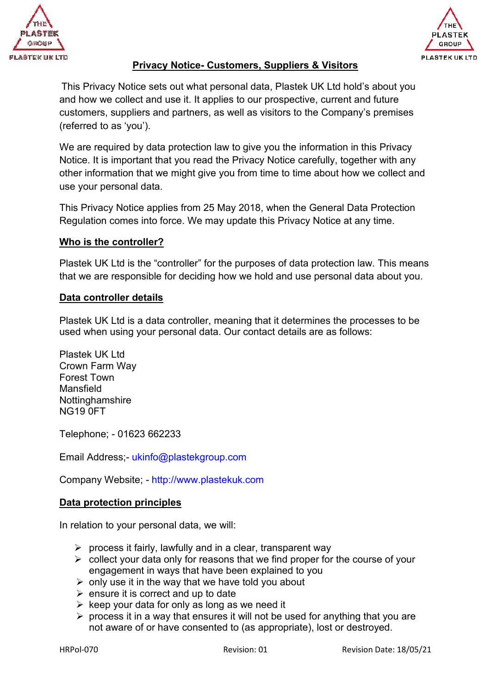



### **Privacy Notice- Customers, Suppliers & Visitors**

This Privacy Notice sets out what personal data, Plastek UK Ltd hold's about you and how we collect and use it. It applies to our prospective, current and future customers, suppliers and partners, as well as visitors to the Company's premises (referred to as 'you').

We are required by data protection law to give you the information in this Privacy Notice. It is important that you read the Privacy Notice carefully, together with any other information that we might give you from time to time about how we collect and use your personal data.

This Privacy Notice applies from 25 May 2018, when the General Data Protection Regulation comes into force. We may update this Privacy Notice at any time.

### **Who is the controller?**

Plastek UK Ltd is the "controller" for the purposes of data protection law. This means that we are responsible for deciding how we hold and use personal data about you.

#### **Data controller details**

Plastek UK Ltd is a data controller, meaning that it determines the processes to be used when using your personal data. Our contact details are as follows:

Plastek UK Ltd Crown Farm Way Forest Town Mansfield **Nottinghamshire** NG19 0FT

Telephone; - 01623 662233

Email Address;- ukinfo@plastekgroup.com

Company Website; - http://www.plastekuk.com

### **Data protection principles**

In relation to your personal data, we will:

- $\triangleright$  process it fairly, lawfully and in a clear, transparent way
- $\triangleright$  collect your data only for reasons that we find proper for the course of your engagement in ways that have been explained to you
- $\triangleright$  only use it in the way that we have told you about
- $\triangleright$  ensure it is correct and up to date
- $\triangleright$  keep your data for only as long as we need it
- $\triangleright$  process it in a way that ensures it will not be used for anything that you are not aware of or have consented to (as appropriate), lost or destroyed.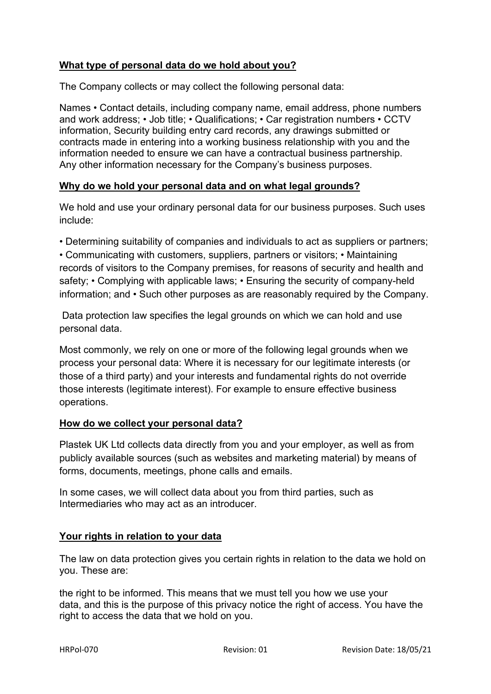# **What type of personal data do we hold about you?**

The Company collects or may collect the following personal data:

Names • Contact details, including company name, email address, phone numbers and work address; • Job title; • Qualifications; • Car registration numbers • CCTV information, Security building entry card records, any drawings submitted or contracts made in entering into a working business relationship with you and the information needed to ensure we can have a contractual business partnership. Any other information necessary for the Company's business purposes.

### **Why do we hold your personal data and on what legal grounds?**

We hold and use your ordinary personal data for our business purposes. Such uses include:

• Determining suitability of companies and individuals to act as suppliers or partners;

• Communicating with customers, suppliers, partners or visitors; • Maintaining records of visitors to the Company premises, for reasons of security and health and safety; • Complying with applicable laws; • Ensuring the security of company-held information; and • Such other purposes as are reasonably required by the Company.

 Data protection law specifies the legal grounds on which we can hold and use personal data.

Most commonly, we rely on one or more of the following legal grounds when we process your personal data: Where it is necessary for our legitimate interests (or those of a third party) and your interests and fundamental rights do not override those interests (legitimate interest). For example to ensure effective business operations.

### **How do we collect your personal data?**

Plastek UK Ltd collects data directly from you and your employer, as well as from publicly available sources (such as websites and marketing material) by means of forms, documents, meetings, phone calls and emails.

In some cases, we will collect data about you from third parties, such as Intermediaries who may act as an introducer.

# **Your rights in relation to your data**

The law on data protection gives you certain rights in relation to the data we hold on you. These are:

the right to be informed. This means that we must tell you how we use your data, and this is the purpose of this privacy notice the right of access. You have the right to access the data that we hold on you.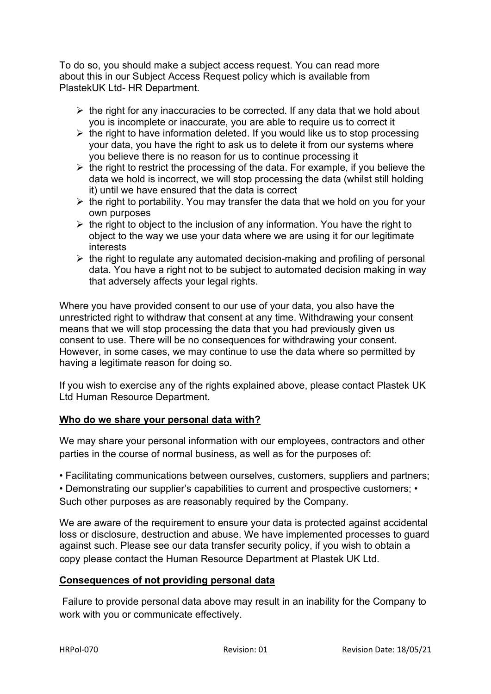To do so, you should make a subject access request. You can read more about this in our Subject Access Request policy which is available from PlastekUK Ltd- HR Department.

- $\triangleright$  the right for any inaccuracies to be corrected. If any data that we hold about you is incomplete or inaccurate, you are able to require us to correct it
- $\triangleright$  the right to have information deleted. If you would like us to stop processing your data, you have the right to ask us to delete it from our systems where you believe there is no reason for us to continue processing it
- $\triangleright$  the right to restrict the processing of the data. For example, if you believe the data we hold is incorrect, we will stop processing the data (whilst still holding it) until we have ensured that the data is correct
- $\triangleright$  the right to portability. You may transfer the data that we hold on you for your own purposes
- $\triangleright$  the right to object to the inclusion of any information. You have the right to object to the way we use your data where we are using it for our legitimate interests
- $\triangleright$  the right to regulate any automated decision-making and profiling of personal data. You have a right not to be subject to automated decision making in way that adversely affects your legal rights.

Where you have provided consent to our use of your data, you also have the unrestricted right to withdraw that consent at any time. Withdrawing your consent means that we will stop processing the data that you had previously given us consent to use. There will be no consequences for withdrawing your consent. However, in some cases, we may continue to use the data where so permitted by having a legitimate reason for doing so.

If you wish to exercise any of the rights explained above, please contact Plastek UK Ltd Human Resource Department.

# **Who do we share your personal data with?**

We may share your personal information with our employees, contractors and other parties in the course of normal business, as well as for the purposes of:

• Facilitating communications between ourselves, customers, suppliers and partners;

• Demonstrating our supplier's capabilities to current and prospective customers; • Such other purposes as are reasonably required by the Company.

We are aware of the requirement to ensure your data is protected against accidental loss or disclosure, destruction and abuse. We have implemented processes to guard against such. Please see our data transfer security policy, if you wish to obtain a copy please contact the Human Resource Department at Plastek UK Ltd.

### **Consequences of not providing personal data**

 Failure to provide personal data above may result in an inability for the Company to work with you or communicate effectively.